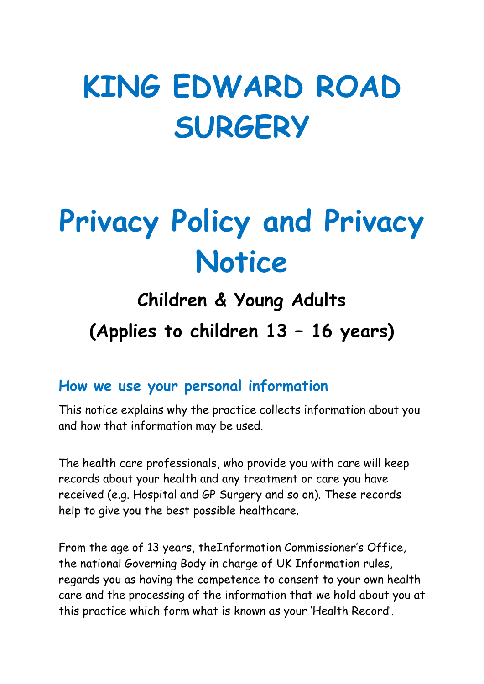# KING EDWARD ROAD **SURGERY**

# Privacy Policy and Privacy **Notice**

# Children & Young Adults (Applies to children 13 – 16 years)

#### How we use your personal information

This notice explains why the practice collects information about you and how that information may be used.

The health care professionals, who provide you with care will keep records about your health and any treatment or care you have received (e.g. Hospital and GP Surgery and so on). These records help to give you the best possible healthcare.

From the age of 13 years, theInformation Commissioner's Office, the national Governing Body in charge of UK Information rules, regards you as having the competence to consent to your own health care and the processing of the information that we hold about you at this practice which form what is known as your 'Health Record'.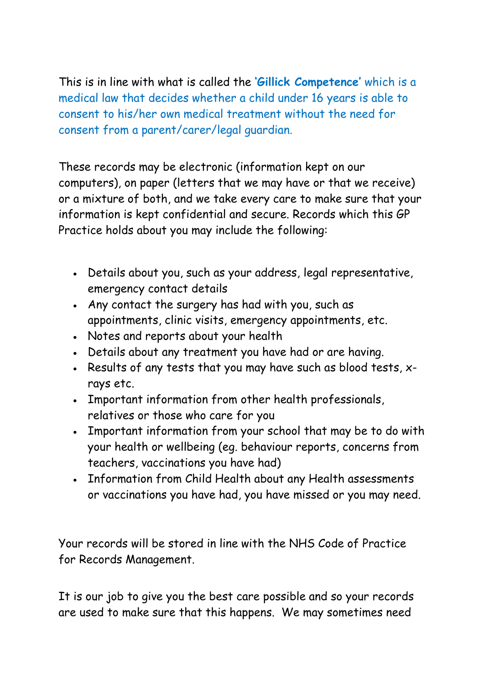This is in line with what is called the 'Gillick Competence' which is a medical law that decides whether a child under 16 years is able to consent to his/her own medical treatment without the need for consent from a parent/carer/legal guardian.

These records may be electronic (information kept on our computers), on paper (letters that we may have or that we receive) or a mixture of both, and we take every care to make sure that your information is kept confidential and secure. Records which this GP Practice holds about you may include the following:

- Details about you, such as your address, legal representative, emergency contact details
- Any contact the surgery has had with you, such as appointments, clinic visits, emergency appointments, etc.
- Notes and reports about your health
- Details about any treatment you have had or are having.
- Results of any tests that you may have such as blood tests, xrays etc.
- Important information from other health professionals, relatives or those who care for you
- Important information from your school that may be to do with your health or wellbeing (eg. behaviour reports, concerns from teachers, vaccinations you have had)
- Information from Child Health about any Health assessments or vaccinations you have had, you have missed or you may need.

Your records will be stored in line with the NHS Code of Practice for Records Management.

It is our job to give you the best care possible and so your records are used to make sure that this happens. We may sometimes need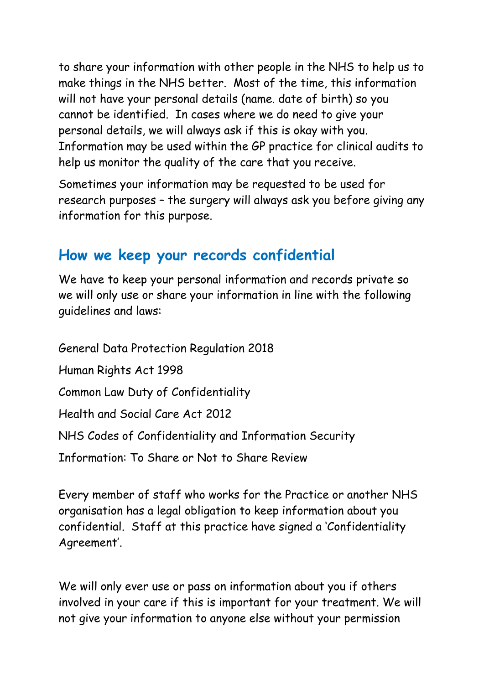to share your information with other people in the NHS to help us to make things in the NHS better. Most of the time, this information will not have your personal details (name. date of birth) so you cannot be identified. In cases where we do need to give your personal details, we will always ask if this is okay with you. Information may be used within the GP practice for clinical audits to help us monitor the quality of the care that you receive.

Sometimes your information may be requested to be used for research purposes – the surgery will always ask you before giving any information for this purpose.

#### How we keep your records confidential

We have to keep your personal information and records private so we will only use or share your information in line with the following guidelines and laws:

General Data Protection Regulation 2018 Human Rights Act 1998 Common Law Duty of Confidentiality Health and Social Care Act 2012 NHS Codes of Confidentiality and Information Security Information: To Share or Not to Share Review

Every member of staff who works for the Practice or another NHS organisation has a legal obligation to keep information about you confidential. Staff at this practice have signed a 'Confidentiality Agreement'.

We will only ever use or pass on information about you if others involved in your care if this is important for your treatment. We will not give your information to anyone else without your permission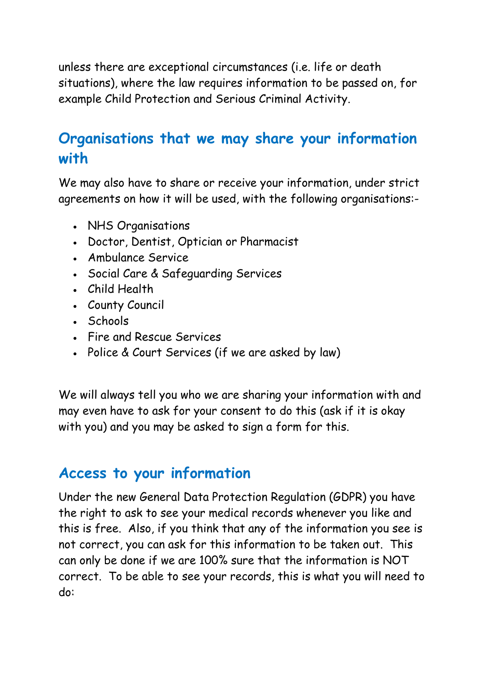unless there are exceptional circumstances (i.e. life or death situations), where the law requires information to be passed on, for example Child Protection and Serious Criminal Activity.

#### Organisations that we may share your information with

We may also have to share or receive your information, under strict agreements on how it will be used, with the following organisations:-

- NHS Organisations
- Doctor, Dentist, Optician or Pharmacist
- Ambulance Service
- Social Care & Safeguarding Services
- Child Health
- County Council
- Schools
- Fire and Rescue Services
- Police & Court Services (if we are asked by law)

We will always tell you who we are sharing your information with and may even have to ask for your consent to do this (ask if it is okay with you) and you may be asked to sign a form for this.

#### Access to your information

Under the new General Data Protection Regulation (GDPR) you have the right to ask to see your medical records whenever you like and this is free. Also, if you think that any of the information you see is not correct, you can ask for this information to be taken out. This can only be done if we are 100% sure that the information is NOT correct. To be able to see your records, this is what you will need to do: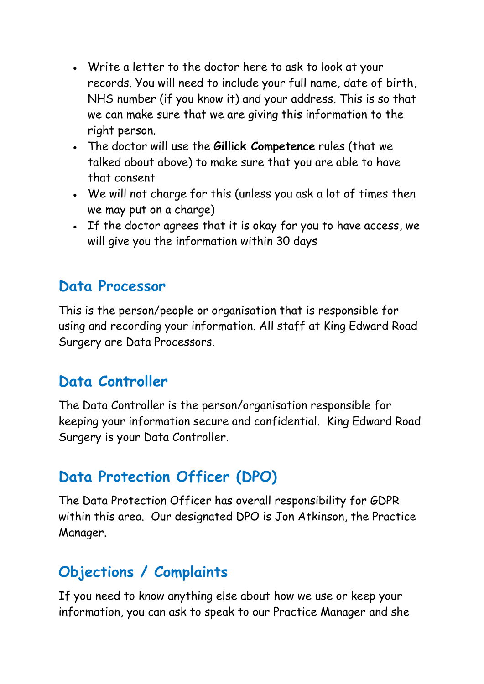- Write a letter to the doctor here to ask to look at your records. You will need to include your full name, date of birth, NHS number (if you know it) and your address. This is so that we can make sure that we are giving this information to the right person.
- The doctor will use the Gillick Competence rules (that we talked about above) to make sure that you are able to have that consent
- We will not charge for this (unless you ask a lot of times then we may put on a charge)
- If the doctor agrees that it is okay for you to have access, we will give you the information within 30 days

#### Data Processor

This is the person/people or organisation that is responsible for using and recording your information. All staff at King Edward Road Surgery are Data Processors.

## Data Controller

The Data Controller is the person/organisation responsible for keeping your information secure and confidential. King Edward Road Surgery is your Data Controller.

## Data Protection Officer (DPO)

The Data Protection Officer has overall responsibility for GDPR within this area. Our designated DPO is Jon Atkinson, the Practice Manager.

## Objections / Complaints

If you need to know anything else about how we use or keep your information, you can ask to speak to our Practice Manager and she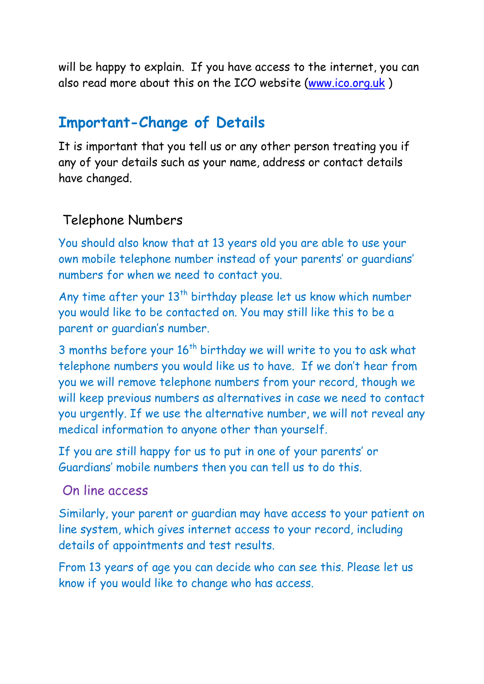will be happy to explain. If you have access to the internet, you can also read more about this on the ICO website (www.ico.org.uk )

#### Important-Change of Details

It is important that you tell us or any other person treating you if any of your details such as your name, address or contact details have changed.

#### Telephone Numbers

You should also know that at 13 years old you are able to use your own mobile telephone number instead of your parents' or guardians' numbers for when we need to contact you.

Any time after your 13<sup>th</sup> birthday please let us know which number you would like to be contacted on. You may still like this to be a parent or guardian's number.

3 months before your  $16<sup>th</sup>$  birthday we will write to you to ask what telephone numbers you would like us to have. If we don't hear from you we will remove telephone numbers from your record, though we will keep previous numbers as alternatives in case we need to contact you urgently. If we use the alternative number, we will not reveal any medical information to anyone other than yourself.

If you are still happy for us to put in one of your parents' or Guardians' mobile numbers then you can tell us to do this.

#### On line access

Similarly, your parent or guardian may have access to your patient on line system, which gives internet access to your record, including details of appointments and test results.

From 13 years of age you can decide who can see this. Please let us know if you would like to change who has access.